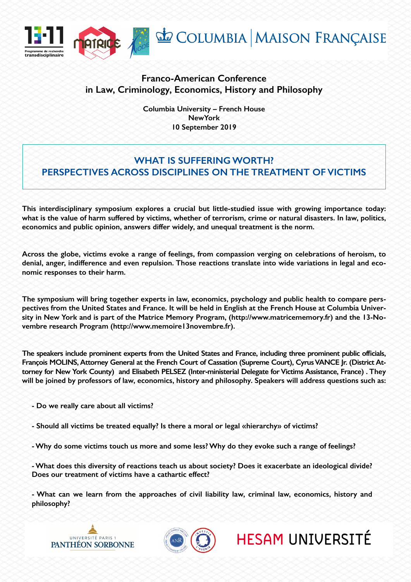

## **Franco-American Conference in Law, Criminology, Economics, History and Philosophy**

**Columbia University – French House NewYork 10 September 2019**

## **WHAT IS SUFFERING WORTH? PERSPECTIVES ACROSS DISCIPLINES ON THE TREATMENT OF VICTIMS**

**This interdisciplinary symposium explores a crucial but little-studied issue with growing importance today: what is the value of harm suffered by victims, whether of terrorism, crime or natural disasters. In law, politics, economics and public opinion, answers differ widely, and unequal treatment is the norm.**

**Across the globe, victims evoke a range of feelings, from compassion verging on celebrations of heroism, to denial, anger, indifference and even repulsion. Those reactions translate into wide variations in legal and economic responses to their harm.**

**The symposium will bring together experts in law, economics, psychology and public health to compare perspectives from the United States and France. It will be held in English at the French House at Columbia University in New York and is part of the Matrice Memory Program, (http://www.matricememory.fr) and the 13-Novembre research Program (http://www.memoire13novembre.fr).**

**The speakers include prominent experts from the United States and France, including three prominent public officials, François MOLINS, Attorney General at the French Court of Cassation (Supreme Court), Cyrus VANCE Jr. (District Attorney for New York County) and Elisabeth PELSEZ (Inter-ministerial Delegate for Victims Assistance, France) . They will be joined by professors of law, economics, history and philosophy. Speakers will address questions such as:**

- **Do we really care about all victims?**
- **Should all victims be treated equally? Is there a moral or legal «hierarchy» of victims?**
- **Why do some victims touch us more and some less? Why do they evoke such a range of feelings?**

**- What does this diversity of reactions teach us about society? Does it exacerbate an ideological divide? Does our treatment of victims have a cathartic effect?**

**- What can we learn from the approaches of civil liability law, criminal law, economics, history and philosophy?**